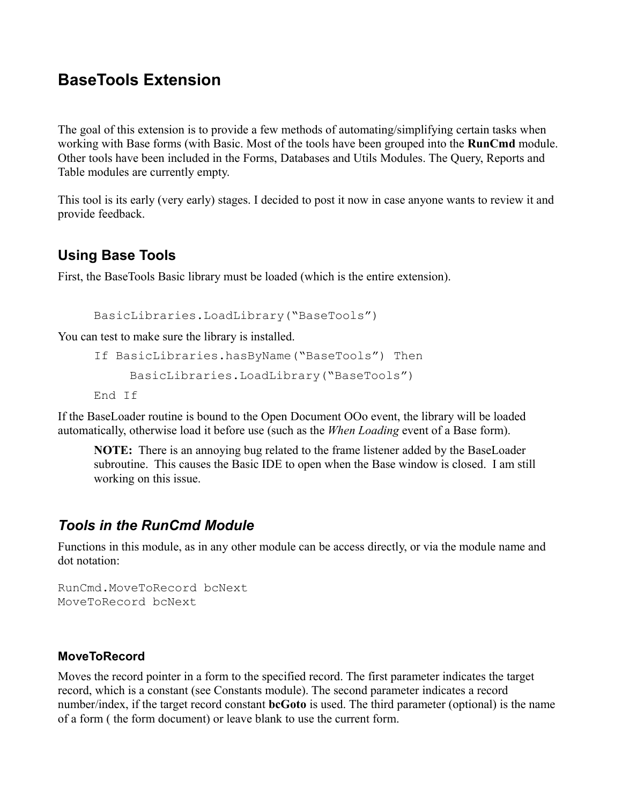# **BaseTools Extension**

The goal of this extension is to provide a few methods of automating/simplifying certain tasks when working with Base forms (with Basic. Most of the tools have been grouped into the **RunCmd** module. Other tools have been included in the Forms, Databases and Utils Modules. The Query, Reports and Table modules are currently empty.

This tool is its early (very early) stages. I decided to post it now in case anyone wants to review it and provide feedback.

## **Using Base Tools**

First, the BaseTools Basic library must be loaded (which is the entire extension).

BasicLibraries.LoadLibrary("BaseTools")

You can test to make sure the library is installed.

```
If BasicLibraries.hasByName("BaseTools") Then
    BasicLibraries.LoadLibrary("BaseTools")
End If
```
If the BaseLoader routine is bound to the Open Document OOo event, the library will be loaded automatically, otherwise load it before use (such as the *When Loading* event of a Base form).

**NOTE:** There is an annoying bug related to the frame listener added by the BaseLoader subroutine. This causes the Basic IDE to open when the Base window is closed. I am still working on this issue.

### *Tools in the RunCmd Module*

Functions in this module, as in any other module can be access directly, or via the module name and dot notation:

```
RunCmd.MoveToRecord bcNext
MoveToRecord bcNext
```
#### **MoveToRecord**

Moves the record pointer in a form to the specified record. The first parameter indicates the target record, which is a constant (see Constants module). The second parameter indicates a record number/index, if the target record constant **bcGoto** is used. The third parameter (optional) is the name of a form ( the form document) or leave blank to use the current form.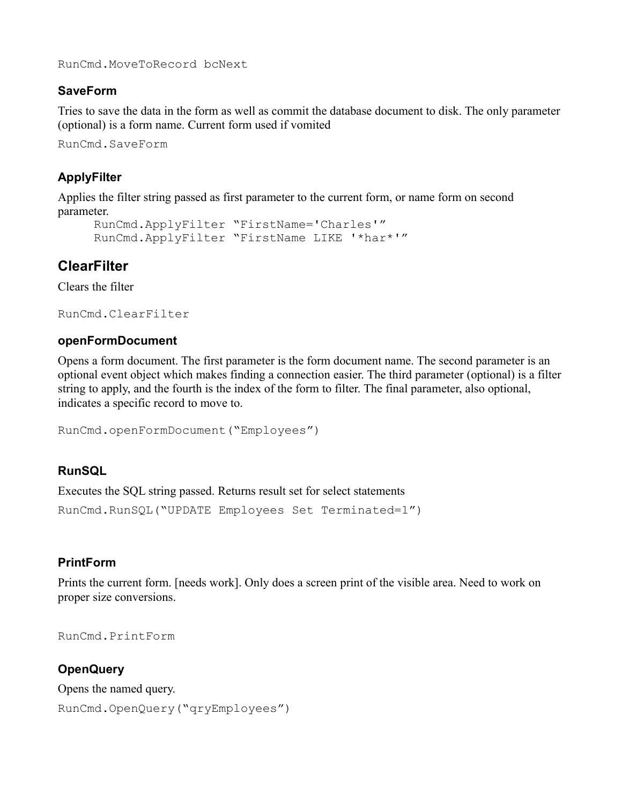RunCmd.MoveToRecord bcNext

#### **SaveForm**

Tries to save the data in the form as well as commit the database document to disk. The only parameter (optional) is a form name. Current form used if vomited

RunCmd.SaveForm

#### **ApplyFilter**

Applies the filter string passed as first parameter to the current form, or name form on second parameter.

```
RunCmd.ApplyFilter "FirstName='Charles'"
RunCmd.ApplyFilter "FirstName LIKE '*har*'"
```
### **ClearFilter**

Clears the filter

```
RunCmd.ClearFilter
```
#### **openFormDocument**

Opens a form document. The first parameter is the form document name. The second parameter is an optional event object which makes finding a connection easier. The third parameter (optional) is a filter string to apply, and the fourth is the index of the form to filter. The final parameter, also optional, indicates a specific record to move to.

```
RunCmd.openFormDocument("Employees")
```
#### **RunSQL**

Executes the SQL string passed. Returns result set for select statements

```
RunCmd.RunSQL("UPDATE Employees Set Terminated=1")
```
#### **PrintForm**

Prints the current form. [needs work]. Only does a screen print of the visible area. Need to work on proper size conversions.

RunCmd.PrintForm

#### **OpenQuery**

```
Opens the named query.
RunCmd.OpenQuery("qryEmployees")
```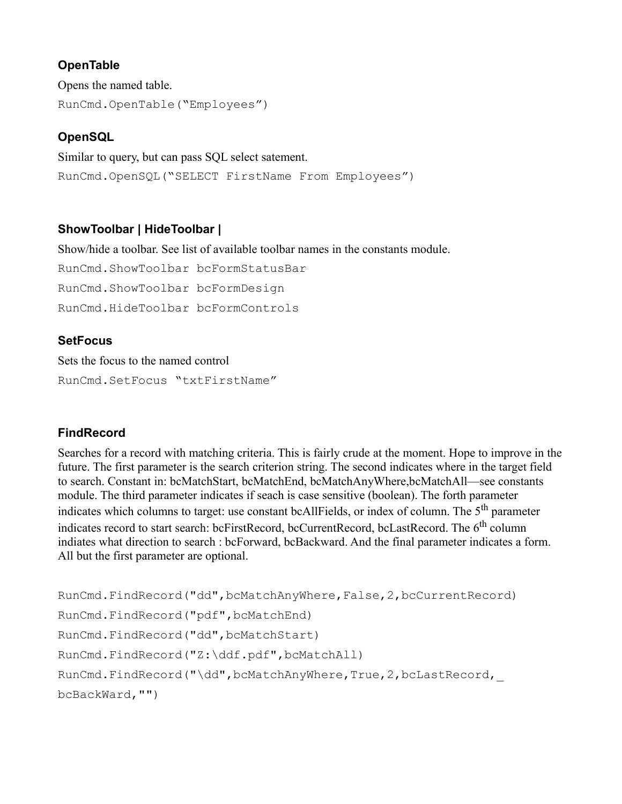### **OpenTable**

Opens the named table. RunCmd.OpenTable("Employees")

## **OpenSQL**

Similar to query, but can pass SQL select satement. RunCmd.OpenSQL("SELECT FirstName From Employees")

### **ShowToolbar | HideToolbar |**

Show/hide a toolbar. See list of available toolbar names in the constants module.

RunCmd.ShowToolbar bcFormStatusBar

RunCmd.ShowToolbar bcFormDesign

```
RunCmd.HideToolbar bcFormControls
```
#### **SetFocus**

Sets the focus to the named control RunCmd.SetFocus "txtFirstName"

#### **FindRecord**

Searches for a record with matching criteria. This is fairly crude at the moment. Hope to improve in the future. The first parameter is the search criterion string. The second indicates where in the target field to search. Constant in: bcMatchStart, bcMatchEnd, bcMatchAnyWhere,bcMatchAll—see constants module. The third parameter indicates if seach is case sensitive (boolean). The forth parameter indicates which columns to target: use constant bcAllFields, or index of column. The 5<sup>th</sup> parameter indicates record to start search: bcFirstRecord, bcCurrentRecord, bcLastRecord. The 6<sup>th</sup> column indiates what direction to search : bcForward, bcBackward. And the final parameter indicates a form. All but the first parameter are optional.

```
RunCmd.FindRecord("dd",bcMatchAnyWhere,False,2,bcCurrentRecord)
RunCmd.FindRecord("pdf",bcMatchEnd)
RunCmd.FindRecord("dd",bcMatchStart)
RunCmd.FindRecord("Z:\ddf.pdf",bcMatchAll)
RunCmd.FindRecord("\dd",bcMatchAnyWhere,True,2,bcLastRecord,_
bcBackWard,"")
```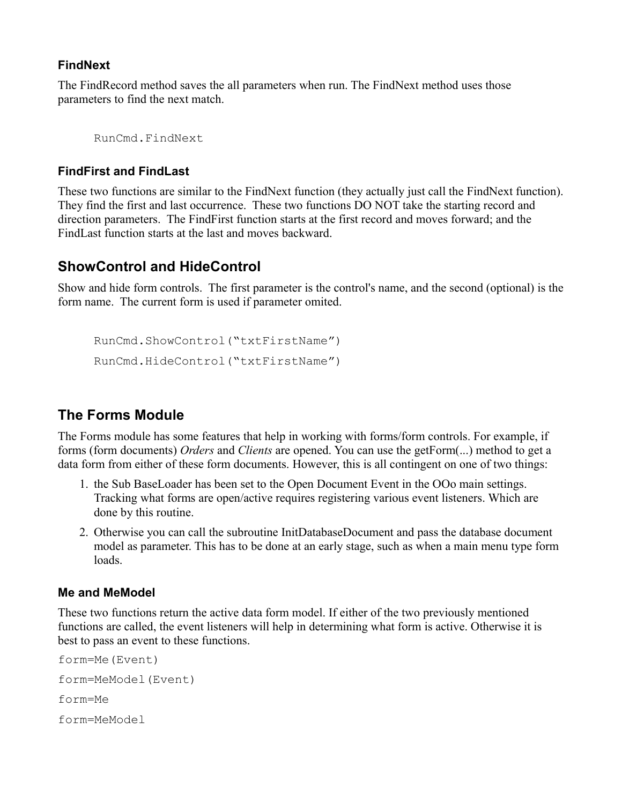#### **FindNext**

The FindRecord method saves the all parameters when run. The FindNext method uses those parameters to find the next match.

RunCmd.FindNext

#### **FindFirst and FindLast**

These two functions are similar to the FindNext function (they actually just call the FindNext function). They find the first and last occurrence. These two functions DO NOT take the starting record and direction parameters. The FindFirst function starts at the first record and moves forward; and the FindLast function starts at the last and moves backward.

## **ShowControl and HideControl**

Show and hide form controls. The first parameter is the control's name, and the second (optional) is the form name. The current form is used if parameter omited.

```
RunCmd.ShowControl("txtFirstName")
RunCmd.HideControl("txtFirstName")
```
# **The Forms Module**

The Forms module has some features that help in working with forms/form controls. For example, if forms (form documents) *Orders* and *Clients* are opened. You can use the getForm(...) method to get a data form from either of these form documents. However, this is all contingent on one of two things:

- 1. the Sub BaseLoader has been set to the Open Document Event in the OOo main settings. Tracking what forms are open/active requires registering various event listeners. Which are done by this routine.
- 2. Otherwise you can call the subroutine InitDatabaseDocument and pass the database document model as parameter. This has to be done at an early stage, such as when a main menu type form loads.

#### **Me and MeModel**

These two functions return the active data form model. If either of the two previously mentioned functions are called, the event listeners will help in determining what form is active. Otherwise it is best to pass an event to these functions.

```
form=Me(Event)
form=MeModel(Event)
form=Me
form=MeModel
```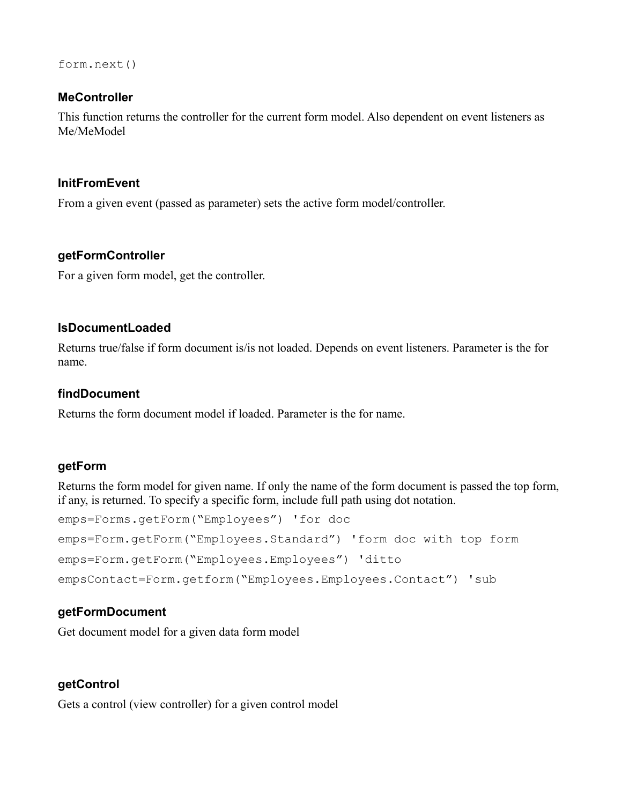form.next()

#### **MeController**

This function returns the controller for the current form model. Also dependent on event listeners as Me/MeModel

#### **InitFromEvent**

From a given event (passed as parameter) sets the active form model/controller.

#### **getFormController**

For a given form model, get the controller.

#### **IsDocumentLoaded**

Returns true/false if form document is/is not loaded. Depends on event listeners. Parameter is the for name.

#### **findDocument**

Returns the form document model if loaded. Parameter is the for name.

#### **getForm**

Returns the form model for given name. If only the name of the form document is passed the top form, if any, is returned. To specify a specific form, include full path using dot notation.

```
emps=Forms.getForm("Employees") 'for doc
emps=Form.getForm("Employees.Standard") 'form doc with top form
emps=Form.getForm("Employees.Employees") 'ditto
empsContact=Form.getform("Employees.Employees.Contact") 'sub
```
#### **getFormDocument**

Get document model for a given data form model

#### **getControl**

Gets a control (view controller) for a given control model